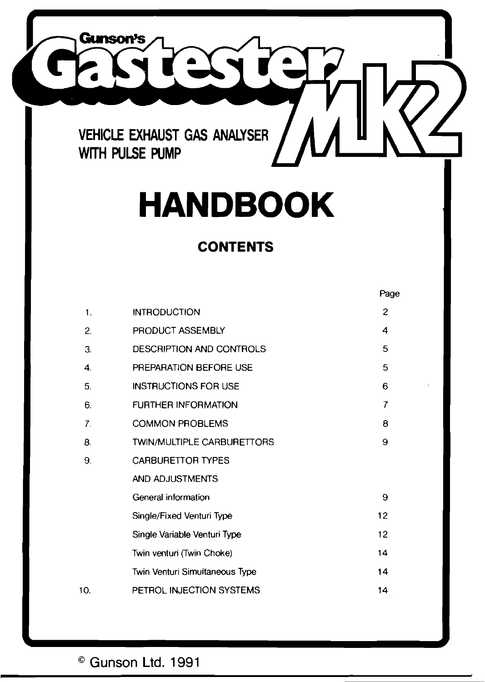

# **HANDBOOK**

## **CONTENTS**

|     |                                   | Page           |
|-----|-----------------------------------|----------------|
| 1.  | <b>INTRODUCTION</b>               | $\overline{c}$ |
| 2.  | PRODUCT ASSEMBLY                  | 4              |
| З.  | DESCRIPTION AND CONTROLS          | 5              |
| 4.  | PREPARATION BEFORE USE            | 5              |
| 5.  | <b>INSTRUCTIONS FOR USE</b>       | 6              |
| 6.  | <b>FURTHER INFORMATION</b>        | 7              |
| 7.  | <b>COMMON PROBLEMS</b>            | 8              |
| 8.  | <b>TWIN/MULTIPLE CARBURETTORS</b> | 9              |
| 9.  | <b>CARBURETTOR TYPES</b>          |                |
|     | AND ADJUSTMENTS                   |                |
|     | General information               | 9              |
|     | Single/Fixed Venturi Type         | 12             |
|     | Single Variable Venturi Type      | 12             |
|     | Twin venturi (Twin Choke)         | 14             |
|     | Twin Venturi Simultaneous Type    | 14             |
| 10. | PETROL INJECTION SYSTEMS          | 14             |

## Gunson **Ltd.** 1991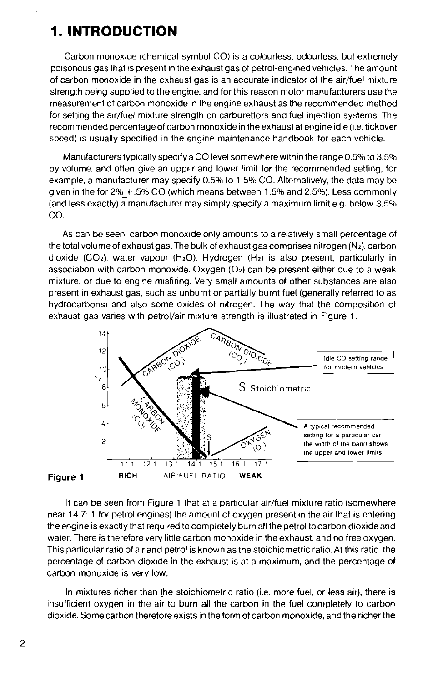## **1. INTRODUCTION**

Carbon monoxide (chemical symbol CO) is a colourless, odourless, but extremely poisonous gas that is present in the exhaust gas of petrol-engined vehicles. The amount of carbon monoxide in the exhaust gas is an accurate indicator of the air/fuel mixture strength being supplied to the engine, and for this reason motor manufacturers use the measurement of carbon monoxide in the engine exhaust as the recommended method for setting the air/fuel mixture strength on carburettors and fuel injection systems. The recommended percentage of carbon monoxide in the exhaust at engine idle (i.e. tickover speed) is usually specified in the engine maintenance handbook for each vehicle.

Manufacturers typically specify a CO level somewhere within the range0.5% to 3.5% by volume, and often give an upper and lower limit for the recommended setting, for example, a manufacturer may specify 0.5% to 1.5% CO. Alternatively, the data may be given in the for  $2\% + .5\%$  CO (which means between 1.5% and 2.5%). Less commonly (and less exactly) a manufacturer may simply specify a maximum limit e.g. below 3.5% CO.

As can be seen, carbon monoxide only amounts to a relatively small percentage of the total volumeof exhaust gas. The bulk of exhaust gas comprises nitrogen **(N4,** carbon dioxide (CO<sub>2</sub>), water vapour (H<sub>2</sub>O). Hydrogen (H<sub>2</sub>) is also present, particularly in association with carbon monoxide. Oxygen  $(O<sub>2</sub>)$  can be present either due to a weak mixture, or due to engine misfiring. Very small amounts of other substances are also present in exhaust gas, such as unburnt or partially burnt fuel (generally referred to as hydrocarbons) and also some oxides of nitrogen. The way that the composition of exhaust gas varies with petrol/air mixture strength is illustrated in Figure 1.



It can be seen from Figure 1 that at a particular air/fuel mixture ratio (somewhere near 14.7: 1 for petrol engines) the amount of oxygen present in the air that is entering the engine is exactly that required to completely burn all the petrol tocarbon dioxide and water. There is therefore very little carbon monoxide in the exhaust, and no free oxygen. This particular ratio of air and petrol is known as the stoichiornetric ratio. At this ratio, the percentage of carbon dioxide in the exhaust is at a maximum, and the percentage of carbon monoxide is very low.

In mixtures richer than the stoichiometric ratio (i.e. more fuel, or less air), there is insufficient oxygen in the air to burn all the carbon in the fuel completely to carbon dioxide. Some carbon therefore exists in the form of carbon monoxide, and the richerthe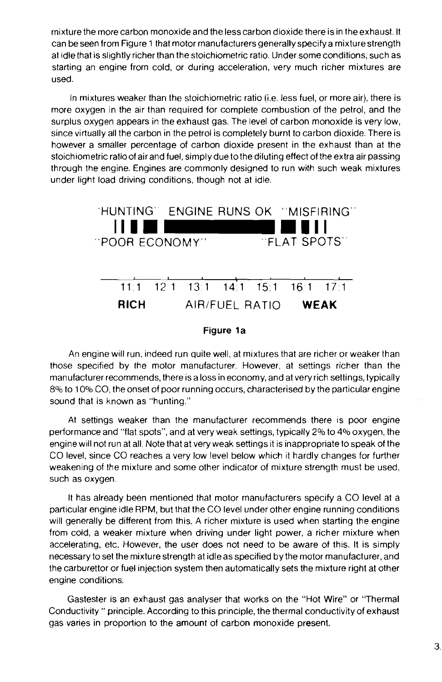mixture the more carbon monoxide and the less carbon dioxide there is in theexhaust. It can beseen from Figure 1 that motor manufacturers generally specifya mixturestrength at idle that is slightly richer than the stoichiometric ratio. Under some conditions, such as starting an engine from cold, or during acceleration, very much richer mixtures are used.

In mixtures weaker than the stoichiometric ratio (i.e. less fuel, or more air), there is more oxygen in the air than required for complete combustion of the petrol, and the surplus oxygen appears in the exhaust gas. The level of carbon monoxide is very low, since virtually all the carbon in the petrol is completely burnt to carbon dioxide. There is however a smaller percentage of carhon dioxide present in the exhaust than at the stoichiometric ratio of air and fuel, simply due to the diluting effect of the extra air passing through the engine. Engines are commonly designed to run with such weak mixtures under light load driving conditions, though not at idle.



An engine will run, indeed run quite well, at mixtures that are richer or weaker than those specified by the motor manufacturer. However, at settings richer than the manufacturer recommends, thereis a loss in economy, and at veryrich settings, typically 8% to 10% CO, the onset of poor running occurs, characterised by the particular engine sound that is known as "hunting."

At settings weaker than the manufacturer recommends there is poor engine performance and "flat spots", and at very weak settings, typically 2% to 4% oxygen, the engine will not run at all. Note that at very weak settings it is inappropriate to speak of the CO level, since CO reaches a very low level below which it hardly changes for further weakening of the mixture and some other indicator of mixture strength must he used, such as oxygen.

It has already been mentioned that motor manufacturers specify a CO level at a particular engine idle RPM, but that the CO level under other engine running conditions will generally be different from this. A richer mixture is used when starting the engine from cold, a weaker mixture when driving under light power, a richer mixture when accelerating, etc. However, the user does not need to be aware of this. It is simply necessaryto set the mixture strength at idleas specified by the motor manufacturer, and the carburettor or fuel injection system then automatically sets the mixture right at other engine conditions.

Gastester is an exhaust gas analyser that works on the "Hot Wire" or "Thermal Conductivity " principle. According to this principle, the thermal conductivity of exhaust gas varies in proportion to the amount of carbon monoxide present.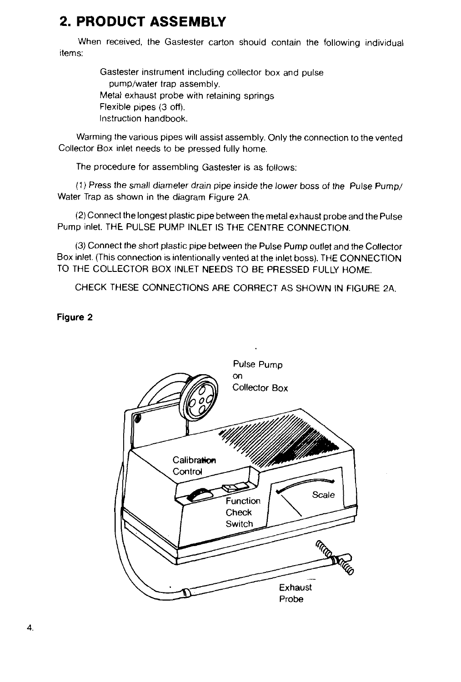## **2. PRODUCT ASSEMBLY**

When received, the Gastester carton should contain the following individual items:

> Gastester instrument including collector box and pulse pump/water trap assembly. Metal exhaust probe with retaining springs Flexible pipes (3 off). Instruction handbook.

Warming the various pipes will assist assembly. Only the connection to the vented Collector Box inlet needs to be pressed fully home.

The procedure for assembling Gastester is as follows:

(1) Press the small diameter drain pipe inside the lower boss of the Pulse Pump/ Water Trap as shown in the diagram Figure 2A.

(2) Connect the longest plastic pipe between the metal exhaust probe and the Pulse Pump inlet. THE PULSE PUMP INLET IS THE CENTRE CONNECTION.

(3) Connect the short plastic pipe between the Pulse Pump outlet and the Collector Box inlet. (This connection is intentionally vented at the inlet boss). THE CONNECTION TO THE COLLECTOR BOX INLET NEEDS TO BE PRESSED FULLY HOME.

CHECK THESE CONNECTIONS ARE CORRECT AS SHOWN IN FIGURE 2A.

**Figure 2** 

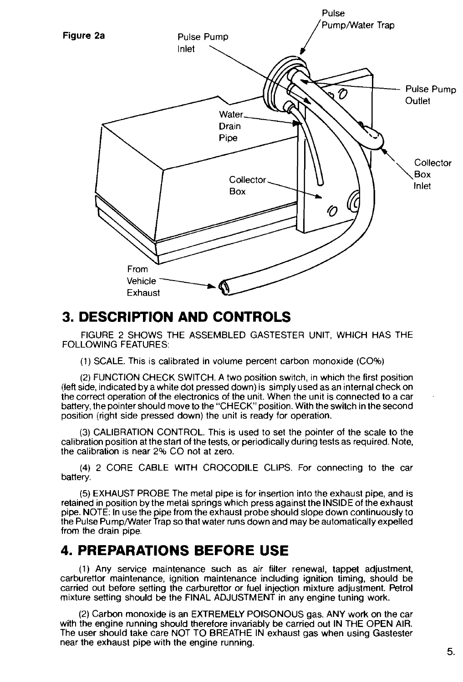

## **3. DESCRIPTION AND CONTROLS**

FIGURE 2 SHOWS THE ASSEMBLED GASTESTER UNIT, WHICH HAS THE FOLLOWING FEATURES:

(1) SCALE. This is calibrated in volume percent carbon monoxide (CO%)

(2) FUNCTION CHECK SWITCH. A two position switch, in which the first position (left side, indicated by a white dot pressed down) is simply used as an internal check on<br>the correct operation of the electronics of the unit. When the unit is connected to a car battery, the pointer should move to the "CHECK" position. With the switch in the second position (right side pressed down) the unit is ready for operation.

(3) CALIBRATION CONTROL. This is used to set the pointer of the scale to the calibration position at thestart of the tests, or periodically during tests as required. Note, the calibration is near 2% CO not at zero.

(4) 2 CORE CABLE WITH CROCODILE CLIPS. For connecting to the car battery.

(5) EXHAUST PROBE The metal pipe is for insertion into the exhaust pipe, and is retained in position by the metal springs which press against the INSIDE of the exhaust pipe. NOTE: In use the pipe from the exhaust probe should slope down continuously to the Pulse Pump/Water Trap so that water runs down and may be automatically expelled from the drain pipe.

## **4. PREPARATIONS BEFORE USE**

(1) Any service maintenance such as air filter renewal, tappet adjustment, carburettor maintenance, ignition maintenance including ignition timing, should be carried out before setting the carburettor or fuel injection mixture adjustment. Petrol mixture setting should be the FINAL ADJUSTMENT in any engine tuning work.

(2) Carbon monoxide is an EXTREMELY POISONOUS gas. ANY work on the car with the engine running should therefore invariably be carried out IN THE OPEN AIR. The user should take care NOT TO BREATHE IN exhaust gas when using Gastester near the exhaust pipe with the engine running.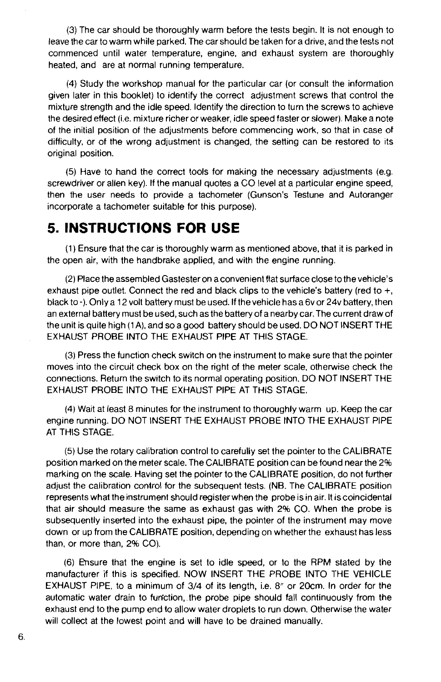(3) The car should be thoroughly warm before the tests begin. It is not enough to leave the car to warm while parked. The car should be taken for a drive, and the tests not commenced until water temperature, engine, and exhaust system are thoroughly heated, and are at normal running temperature.

(4) Study the workshop manual for the particular car (or consult the information given later in this booklet) to identify the correct adjustment screws that control the mixture strength and the idle speed. Identify the direction to turn the screws to achieve the desired effect (i.e. mixture richer or weaker, idle speed faster or slower). Make a note of the initial position of the adjustments before commencing work, so that in case of difficulty, or of the wrong adjustment is changed, the setting can be restored to its original position.

(5) Have to hand the correct tools for making the necessary adjustments (e.g. screwdriver or allen key). If the manual quotes a CO level at a particular engine speed, then the user needs to provide a tachometer (Gunson's Testune and Autoranger incorporate a tachometer suitable for this purpose).

## **5. INSTRUCTIONS FOR USE**

(1) Ensure that the car is thoroughly warm as mentioned above, that it is parked in the open air, with the handbrake applied, and with the engine running.

(2) Place the assembled Gastester on aconvenient flat surface close to the vehicle's exhaust pipe outlet. Connect the red and black clips to the vehicle's battery (red to  $+$ , black to -). Only a 12 volt battery must be used. If the vehicle has a 6y or 24y battery, then an external battery must be used, such as the battery of a nearby car. The current draw of the unit is quite high (1 A), and so a good battery should be used. DO NOT INSERT THE EXHAUST PROBE INTO THE EXHAUST PlPE AT THlS STAGE.

(3) Press the function check switch on the instrument to make sure that the pointer moves into the circuit check box on the right of the meter scale, otherwise check the connections. Return the switch to its normal operating position. DO NOT INSERT THE EXHAUST PROBE INTO THE EXHAUST PlPE AT THlS STAGE.

**(4)** Wait at least 8 minutes for the instrument to thoroughly warm up. Keep the car engine running. DO NOT INSERT THE EXHAUST PROBE INTO THE EXHAUST PlPE AT THlS STAGE.

(5) Use the rotary calibration control to carefully set the pointer to the CALIBRATE position marked on the meter scale. The CAI-IBRATE position can be found near the 2% marking on the scale. Having set the pointer to the CALIBRATE position, do not further adjust the calibration control for the subsequent tests. (NB. The CALIBRATE position represents what the instrument should register when the probe is in air. It is coincidental that air should measure the same as exhaust gas with 2% CO. When the probe is subsequently inserted into the exhaust pipe, the pointer of the instrument may move down or up from the CALIBRATE position, depending on whether the exhaust has less than, or more than, 2% CO).

(6) Ensure that the engine is set to idle speed, or to the RPM stated by the manufacturer if this is specified. NOW INSERT THE PROBE INTO THE VEHICLE EXHAUST PIPE, to a minimum of 3/4 of its length, i.e. 8" or 20cm. In order for the automatic water drain to function, the probe pipe should fall continuously from the exhaust end to the pump end to allow water droplets to run down. Otherwise the water will collect at the lowest point and will have to be drained manually.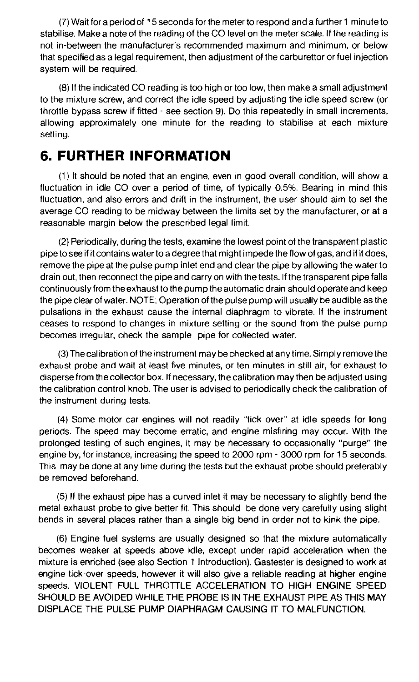(7) Wait for a period of 15 seconds for the meter to respond and a further 1 minute to stabilise. Make a note of the reading of the CO level on the meter scale. If the reading is not in-between the manufacturer's recommended maximum and minimum, or below that specified as a legal requirement, then adjustment of the carburettor or fuel injection system will be required.

(8) If the indicated CO reading is too high or too low, then make a small adjustment to the mixture screw, and correct the idle speed by adjusting the idle speed screw (or throttle bypass screw if fitted - see section 9). Do this repeatedly in small increments, allowing approximately one minute for the reading to stabilise at each mixture setting.

## **6. FURTHER INFORMATION**

(1 ) It should be noted that an engine, even in good overall condition, will show a fluctuation in idle CO over a period of time, of typically 0.5%. Bearing in mind this fluctuation, and also errors and drift in the instrument, the user should aim to set the average CO reading to be midway between the limits set by the manufacturer, or at a reasonable margin below the prescribed legal limit.

(2) Periodically, during the tests, examine the lowest point of the transparent plastic pipe to see if it contains water to a degree that might impede the flow of gas, and if it does, remove the pipe at the pulse pump inlet end and clear the pipe by allowing the water to drain out, then reconnect the pipe and carryon with the tests. If the transparent pipe falls continuously from theexhaust to the pump the automatic drain should operate and keep the pipe clear of water. NOTE; Operation of the pulse pump will usually be audible as the pulsations in the exhaust cause the internal diaphragm to vibrate. If the instrument ceases to respond to changes in mixture setting or the sound from the pulse pump becomes irregular, check the sample pipe for collected water.

(3) Thecalibration of the instrument may bechecked at any time. Simply remove the exhaust probe and wait at least five minutes, or ten minutes in still air, for exhaust to disperse from the collector box. If necessary, the calibration may then be adjusted using the calibration control knob. The user is advised to periodically check the calibration of the instrument during tests

**(4)** Some motor car engines will not readily "tick over" at idle speeds for long periods. The speed may become erratic, and engine misfiring may occur. With the prolonged testing of such engines, it may be necessary to occasionally "purge" the engine by, for instance, increasing the speed to 2000 rpm - 3000 rpm for 15 seconds. This may be done at any time during the tests but the exhaust probe should preferably be removed beforehand.

(5) If the exhaust pipe has a curved inlet it may be necessary to slightly bend the metal exhaust probe to give better fit. This should be done very carefully using slight bends in several places rather than a single big bend in order not to kink the pipe.

(6) Engine fuel systems are usually designed so that the mixture automatically becomes weaker at speeds above idle, except under rapid acceleration when the mixture is enriched (see also Section 1 Introduction). Gastester is designed to work at engine tick-over speeds, however it will also give a reliable reading at higher engine speeds. VIOLENT FULL THROTLE ACCELERATION TO HIGH ENGINE SPEED SHOULD BE AVOIDED WHILE THE PROBE IS IN THE EXHAUST PIPE AS THIS MAY DISPLACE THE PULSE PUMP DIAPHRAGM CAUSING IT TO MALFUNCTION.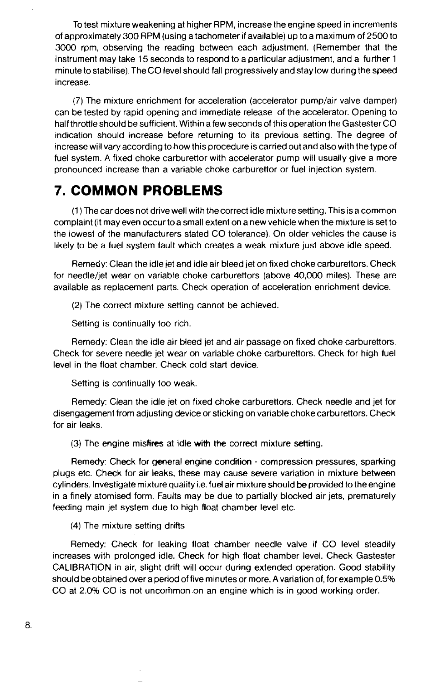To test mixture weakening at higher RPM, increase the engine speed in increments of approximately 300 RPM (using a tachometer if available) up to a maximum of 2500 to 3000 rpm, observing the reading between each adjustment. (Remember that the instrument may take 15 seconds to respond to a particular adjustment, and a further 1 minute tostabilise). TheCO level should fall progressively and stay low during the speed increase.

(7) The mixture enrichment for acceleration (accelerator pump/air valve damper) can be tested by rapid opening and immediate release of the accelerator. Opening to half throttle should be sufficient. Within a few seconds of this operation the Gastester CO indication should increase before returning to its previous setting. The degree of increase will vary according to how this procedure is carried out and also with the type of fuel system. A fixed choke carburettor with accelerator pump will usually give a more pronounced increase than a variable choke carburettor or fuel injection system.

## **7. COMMON PROBLEMS**

(1 )The car does not drive well with thecorrect idle mixture setting. This is a common complaint (it may even occur toa small extent on a new vehicle when the mixture is set to the lowest of the manufacturers stated CO tolerance). On older vehicles the cause is likely to be a fuel system fault which creates a weak mixture just above idle speed.

Remedy: Clean the idle jet and idle air bleed jet on fixed choke carburettors. Check for needle/jet wear on variable choke carburettors (above 40,000 miles). These are available as replacement parts. Check operation of acceleration enrichment device.

(2) The correct mixture setting cannot be achieved

Setting is continually too rich.

Remedy: Clean the idle air bleed jet and air passage on fixed choke carburettors. Check for severe needle jet wear on variable choke carburettors. Check for high fuel level in the float chamber. Check cold start device.

Setting is continually too weak.

Remedy: Clean the idle jet on fixed choke carburettors. Check needle and jet for disengagement from adjusting device or sticking on variablechokecarburettors. Check for air leaks.

(3) The engine misfires at idle with the correct mixture setting.

Remedy: Check for general engine condition - compression pressures, sparking plugs etc. Check for air leaks, these may cause severe variation in mixture between cylinders. Investigate mixture quality i.e. fuel air mixture should be provided to the engine in a finely atomised form. Faults may be due to partially blocked air jets, prematurely feeding main jet system due to high float chamber level etc.

(4) The mixture setting drifts

Remedy: Check for leaking float chamber needle valve if CO level steadily increases with prolonged idle. Check for high float chamber level. Check Gastester CALIBRA'IION in air, slight drift will occur during extended operation. Good stability should be obtained over a period of five minutes or more. A variation of, for example 0.5% CO at 2.0% CO is not uncommon on an engine which is in good working order.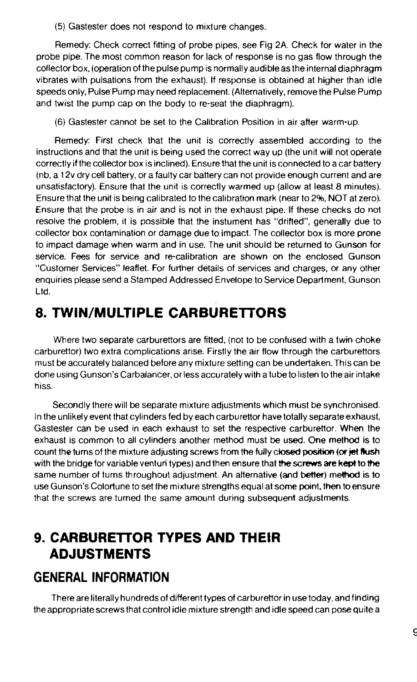(5) Gastester does not respond to mixture changes.

Remedy: Check correct fitting of probe pipes, see Fig 2A. Check for water in the probe pipe. The most common reason for lack of response is no gas flow through the collector box. (operation of the pulse pump is normally audible as the internal diaphragm vibrates with pulsations from the exhaust). If response is obtained at higher than idle speeds only. Pulse Pump may need replacement. (Alternatively, remove the Pulse Pump and twist the pump cap on the body to re-seat the diaphragm).

(6) Gastester cannot be set to the Calibration Position in air after warm-up.

Remedy: First check that the unit is correctly assembled according to the instructions and that the unit is being used the correct way up (the unit will not operate correctly if the collector box is inclined). Ensure that the unit is connected to a car battery (nb, a 12v dry cell battery, or a faulty car battery can not provide enough current and are unsatisfactory). Ensure that the unit is correctly warmed up (allow at least 8 minutes). Ensure that the unit is being calibrated tothe calibration mark (near to 2%, NOT at zero). Ensure that the probe is in air and is not in the exhaust pipe. If these checks do not resolve the problem, it is possible that the instument has "drifted", generally due to collector box contamination or damage due to impact. The collector box is more prone to impact damage when warm and in use. The unit should be returned to Gunson for service. Fees for service and re-calibration are shown on the enclosed Gunson "Customer Services" leaflet. For further details of services and charges, or any other enquiries please send a Stamped Addressed Envelope to Service Department, Gunson Ltd.

## **8. TWIN/MULTIPLE CARBURETTORS**

Where two separate carburettors are fitted, (not to be confused with a twin choke carburettor) two extra complications arise. Firstly the air flow through the carburettors must be accurately balanced before any mixture setting can be undertaken. This can be done using Gunson's Carbalancer, or less accurately with atube to listen to the air intake hiss.

Secondly there will be separate mixture adjustments which must be synchronised. In the unlikely event that cylinders fed by each carburettor have totally separate exhaust, Gastester can be used in each exhaust to set the respective carburettor. When the exhaust is common to all cylinders another method must be used. One method is to count the turns of the mixture adjusting screws from the fully closed **position (or jet Rush**  with the bridge for variable venturi types) and then ensure that the screws are kept to the same number of turns throughout adjustment. An alternative (and **better)** memod is to use Gunson's Colortune to set the mixture strengths equal at some point, then to ensure that the screws are turned the same amount during subsequent adjustments.

## **9. CARBURETTOR TYPES AND THEIR ADJUSTMENTS**

## **GENERAL INFORMATION**

There are literally hundreds of different types of carburettor in use today, and finding the appropriate screws that control idle mixture strength and idle speed can pose quite a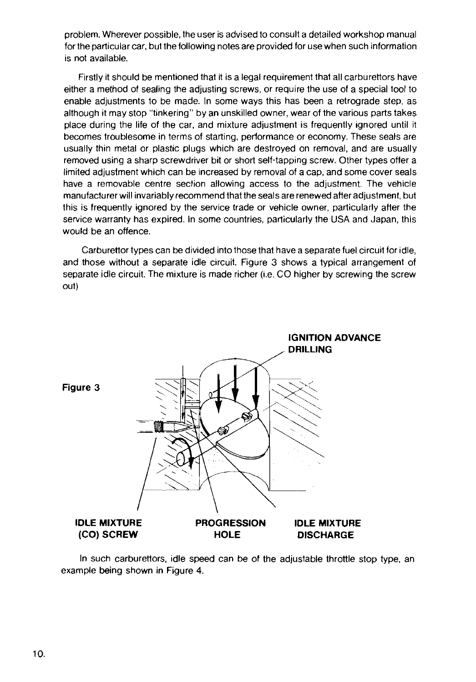problem. Wherever possible, the user is advised to consult a detailed workshop manual for the particular car, but the following notes are provided for use when such information is not available.

Firstly it should be mentioned that it is a legal requirement that all carburettors have either a method of sealing the adjusting screws, or require the use of a special tool to enable adjustments to be made. In some ways this has been a retrograde step, as although it may stop "tinkering" by an unskilled owner, wear of the various parts takes place during the life of the car, and mixture adjustment is frequently ignored until it becomes troublesome in terms of starting, performance or economy. These seals are usually thin metal or plastic plugs which are destroyed on removal, and are usually removed using a sharp screwdriver bit or short self-tapping screw. Other types offer a limited adjustment which can be increased by removal of a cap, and some cover seals have a removable centre section allowing access to the adjustment. The vehicle manufacturer will invariably recommend that the seals are renewed after adjustment, but this is frequently ignored by the service trade or vehicle owner, particularly after the service warranty has expired. In some countries, particularly the USA and Japan, this would be an offence.

Carburettor types can be divided into those that have a separate fuel circuit for idle, and those without a separate idle circuit. Figure 3 shows a typical arrangement of separate idle circuit. The mixture is made richer (i.e. CO higher by screwing the screw out)



In such carburettors, idle speed can be of the adjustable throttle stop type, an example being shown in Figure **4.**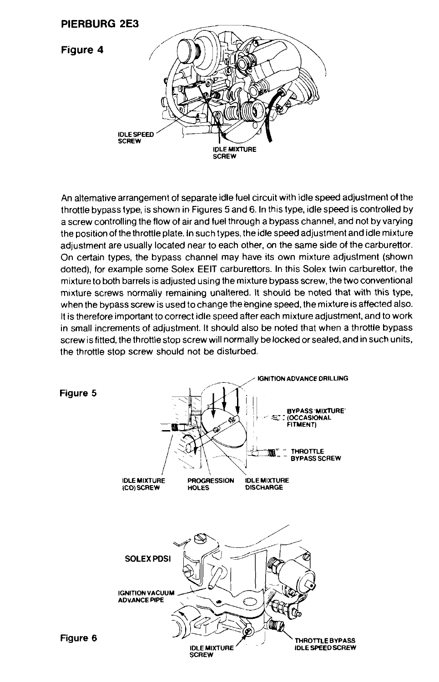

An alternative arrangement of separate idle fuel circuit with idle speed adjustment ot the throttle bypass type, is shown in Figures 5 and 6. In this type, idle speed is controlled by a screw controlling the flow of air and fuel through a bypass channel, and not by varying the position of the throttle plate. In such types, the idle speed adjustment and idle mixture adjustment are usually located near to each other, on the same side of the carburettor. On certain types, the bypass channel may have its own mixture adjustment (shown dotted), for example some Solex EElT carburettors. In this Solex twin carburettor, the mixture to both barrels is adjusted using the mixture bypass screw, the two conventional mixture screws normally remaining unaltered. It should be noted that with this type, when the bypass screw is used to change the engine speed, the mixture is affected also. It is therefore important to correct idle speed after each mixture adjustment, and to work in small increments of adjustment. It should also be noted that when a throttle bypass screw is fitted, the throttle stop screw will normally be locked or sealed, and in such units, the throttle stop screw should not be disturbed.

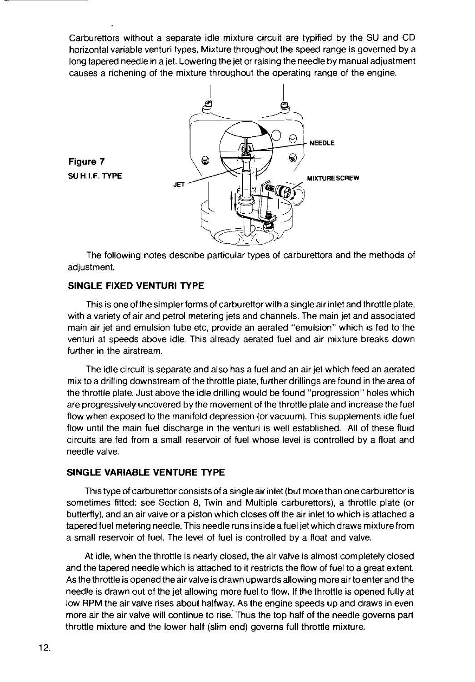Carburettors without a separate idle mixture circuit are typified by the SU and CD horizontal variable venturi types. Mixture throughout the speed range is governed by a long tapered needle in a jet. Lowering the jet or raising the needle by manual adjustment causes a richening of the mixture throughout the operating range of the engine.



The following notes describe particular types of carburettors and the methods of adiustment.

#### **SINGLE FIXED VENTURI TYPE**

**Figure 7 SU H.I.F. TYPE** 

This is one ofthesimpler forms of carburettor with asingle air inlet and throttle plate, with a variety of air and petrol metering jets and channels. The main jet and associated main air jet and emulsion tube etc, provide an aerated "emulsior?" which is fed to the venturi at speeds above idle. This already aerated fuel and air mixture breaks down further in the airstream.

The idle circuit is separate and also has a fuel and an air jet which feed an aerated mix to a drilling downstream of the throttle plate, further drillings are found in the area of the throttle plate. Just above the idle drilling would be found "progression" holes which are progressively uncovered by the movement of the throttle plate and increase the fuel flow when exposed to the manifold depression (or vacuum). This supplements idle fuel flow until the main fuel discharge in the venturi is well established. All of these fluid circuits are fed from a small reservoir of fuel whose level is controlled by a float and needle valve.

#### **SINGLE VARIABLE VENTURE TYPE**

This type of carburettor consists of a single air inlet (but more than one carburettor is sometimes fitted: see Section 8, Twin and Multiple carburettors), a throttle plate (or butterfly), and an air valve or a piston which closes off the air inlet to which is attached a tapered fuel metering needle. This needle runs inside a fuel jet which draws mixture from a small reservoir of fuel. The level of fuel is controlled by a float and valve.

At idle, when the throttle is nearly closed, the air valve is almost completely closed and the tapered needle which is attached to it restricts the flow of fuel to a great extent. As the throttle is opened the air valve is drawn upwards allowing more air toenter and the needle is drawn out of the jet allowing more fuel to flow. If the throttle is opened fully at low RPM the air valve rises about halfway. As the engine speeds up and draws in even more air the air valve will continue to rise. Thus the top half of the needle governs part throttle mixture and the lower half (slim end) governs full throttle mixture.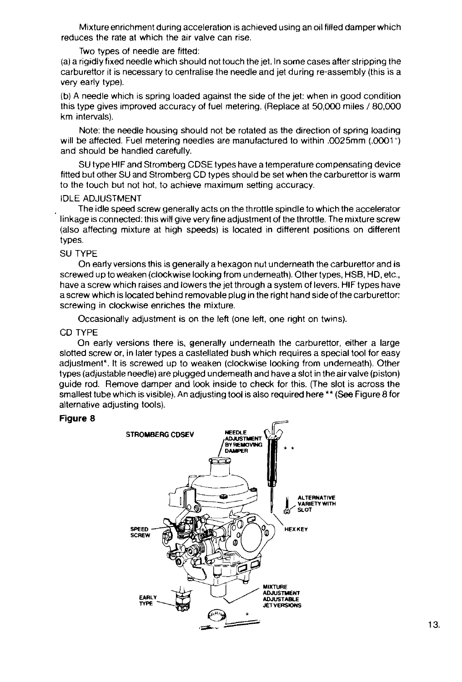Mixture enrichment during acceleration is achieved using an oil filled damper which reduces the rate at which the air valve can rise.

#### Two types of needle are fitted:

(a) a rigidly fixed needle which should not touch the jet. In some cases afler stripping the carburettor it is necessary to centralise the needle and jet during re-assembly (this is a very early type).

(b) A needle which is spring loaded against the side of the jet: when in good condition this type gives improved accuracy of fuel metering. (Replace at 50,000 miles 180,000 km intervals).

Note: the needle housing should not be rotated as the direction of spring loading will be affected. Fuel metering needles are manufactured to within  $.0025$ mm  $(.0001<sup>n</sup>)$ and should be handled carefully.

SU type HIF and Stromberg CDSE types have a temperature compensating device fitted but other SU and Stromberg CD types should be set when the carburettor is warm to the touch but not hot, to achieve maximum setting accuracy.

#### IDLE ADJUSTMENT

The idle speed screw generally acts on the throttle spindle to which the accelerator linkage is connected: this will give very fine adjustment of the throttle. The mixture screw (also affecting mixture at high speeds) is located in different positions on different types.

#### SU TYPE

On early versions this is generally a hexagon nut underneath the carburettor and is screwed up to weaken (clockwise looking from underneath). Othertypes, HSB, HD, etc., have a screw which raises and lowers the jet through a system of levers. HIF types have a screw which is located behind removable plug in the right hand side of the carburettor: screwing in clockwise enriches the mixture.

Occasionally adjustment is on the left (one left, one right on twins).

#### CD TYPE

On early versions there is, generally underneath the carburettor, either a large slotted screw or, in later types a castellated bush which requires a special tool for easy adjustment<sup>\*</sup>. It is screwed up to weaken (clockwise looking from underneath). Other types (adjustable needle) are plugged underneath and have a slot in the air valve (piston) guide rod. Remove damper and look inside to check for this. (The slot is across the smallest tube which is visible). An adjusting tool is also required here \*\* (See Figure 8 for alternative adjusting tools).

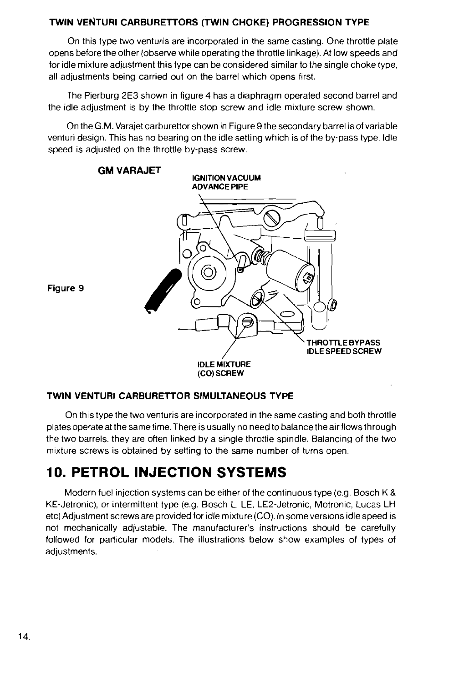### **TWIN VENTURI CARBURETTORS (TWIN CHOKE) PROGRESSION TYPE**

On this type two venturis are incorporated in the same casting. One throttle plate opens before the other (observe while operating the throttle linkage). At low speeds and for idle mixture adjustment this type can be considered similar to the single choke type, all adjustments being carried out on the barrel which opens first.

The Pierburg 2E3 shown in figure **4** has a diaphragm operated second barrel and the idle adjustment is by the throttle stop screw and idle mixture screw shown.

On theG.M. Varajet carburettor shown in Figure9 the secondary barrel is of variable venturi design. This has no bearing on the idle setting which is of the by-pass type. Idle speed is adjusted on the throttle by-pass screw.



### **TWIN VENTURI CARBURETTOR SIMULTANEOUS TYPE**

On this type the two venturis are incorporated in the same casting and both throttle plates operate at the same time. There is usually no need to balance the air flows through the two barrels. they are often linked by a single throttle spindle. Balancing of the two mixture screws is obtained by setting to the same number of turns open.

## **10. PETROL INJECTION SYSTEMS**

Modern fuel injection systems can be either of the continuous type (e.g. Bosch K & KE-Jetronic), or intermittent type (e.g. Bosch L, LE, LE2-Jetronic, Motronic, Lucas LH etc) Adjustment screws are provided for idle mixture(C0). In some versions idlespeed is not mechanically adjustable. The manufacturer's instructions should be carefully followed for particular models. The illustrations below show examples of types of adjustments.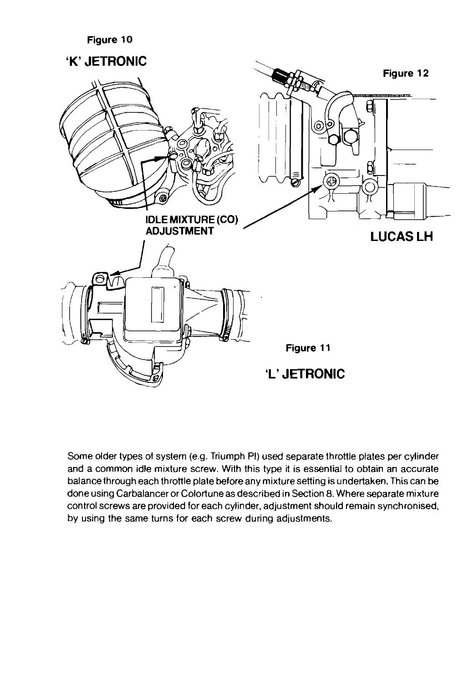

Some older types of system (e.g. Triumph PI) used separate throttle plates per cylinder and a common idle mixture screw. With this type it is essential to obtain an accurate balance through each throttle plate before any mixture setting is undertaken. This can be done using Carbalancer or Colortune as described in Section 8. Where separate mixture control screws are provided for each cylinder, adjustment should remain synchronised, by using the same turns for each screw during adjustments.